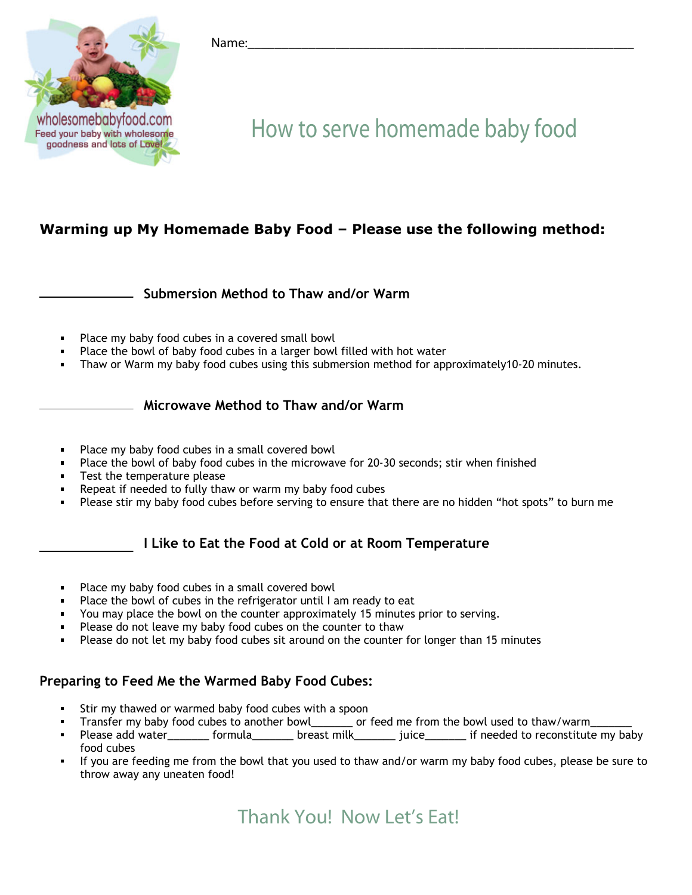

#### Name:\_\_\_\_\_\_\_\_\_\_\_\_\_\_\_\_\_\_\_\_\_\_\_\_\_\_\_\_\_\_\_\_\_\_\_\_\_\_\_\_\_\_\_\_\_\_\_\_\_\_\_\_\_\_\_\_\_

# How to serve homemade baby food

#### **Warming up My Homemade Baby Food – Please use the following method:**

**Submersion Method to Thaw and/or Warm** 

- Place my baby food cubes in a covered small bowl
- Place the bowl of baby food cubes in a larger bowl filled with hot water
- Thaw or Warm my baby food cubes using this submersion method for approximately10-20 minutes.

#### **Microwave Method to Thaw and/or Warm**

- Place my baby food cubes in a small covered bowl
- Place the bowl of baby food cubes in the microwave for 20-30 seconds; stir when finished
- Test the temperature please
- Repeat if needed to fully thaw or warm my baby food cubes
- Please stir my baby food cubes before serving to ensure that there are no hidden "hot spots" to burn me

#### **I Like to Eat the Food at Cold or at Room Temperature**

- Place my baby food cubes in a small covered bowl
- Place the bowl of cubes in the refrigerator until I am ready to eat
- You may place the bowl on the counter approximately 15 minutes prior to serving.
- Please do not leave my baby food cubes on the counter to thaw
- Please do not let my baby food cubes sit around on the counter for longer than 15 minutes

#### **Preparing to Feed Me the Warmed Baby Food Cubes:**

- Stir my thawed or warmed baby food cubes with a spoon
- Transfer my baby food cubes to another bowl\_\_\_\_\_\_\_ or feed me from the bowl used to thaw/warm\_
- Please add water\_\_\_\_\_\_\_\_ formula\_\_\_\_\_\_\_\_ breast milk\_\_\_\_\_\_\_\_ juice\_\_\_\_\_\_\_ if needed to reconstitute my baby food cubes
- If you are feeding me from the bowl that you used to thaw and/or warm my baby food cubes, please be sure to throw away any uneaten food!

### **Thank You! Now Let's Eat!**